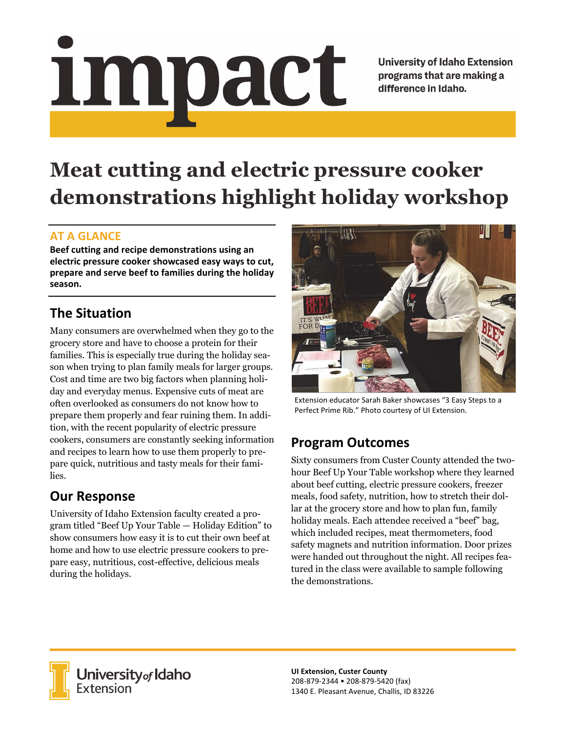# <u>impact</u>

**University of Idaho Extension** programs that are making a difference in Idaho.

# **Meat cutting and electric pressure cooker demonstrations highlight holiday workshop**

### **AT A GLANCE**

**Beef cutting and recipe demonstrations using an electric pressure cooker showcased easy ways to cut, prepare and serve beef to families during the holiday season.** 

## **The Situation**

Many consumers are overwhelmed when they go to the grocery store and have to choose a protein for their families. This is especially true during the holiday season when trying to plan family meals for larger groups. Cost and time are two big factors when planning holiday and everyday menus. Expensive cuts of meat are often overlooked as consumers do not know how to prepare them properly and fear ruining them. In addition, with the recent popularity of electric pressure cookers, consumers are constantly seeking information and recipes to learn how to use them properly to prepare quick, nutritious and tasty meals for their families.

# **Our Response**

University of Idaho Extension faculty created a program titled "Beef Up Your Table — Holiday Edition" to show consumers how easy it is to cut their own beef at home and how to use electric pressure cookers to prepare easy, nutritious, cost-effective, delicious meals during the holidays.



Extension educator Sarah Baker showcases "3 Easy Steps to a Perfect Prime Rib." Photo courtesy of UI Extension.

## **Program Outcomes**

Sixty consumers from Custer County attended the twohour Beef Up Your Table workshop where they learned about beef cutting, electric pressure cookers, freezer meals, food safety, nutrition, how to stretch their dollar at the grocery store and how to plan fun, family holiday meals. Each attendee received a "beef" bag, which included recipes, meat thermometers, food safety magnets and nutrition information. Door prizes were handed out throughout the night. All recipes featured in the class were available to sample following the demonstrations.



**University** of Idaho<br>Extension

**UI Extension, Custer County**  208‐879‐2344 • 208‐879‐5420 (fax) 1340 E. Pleasant Avenue, Challis, ID 83226